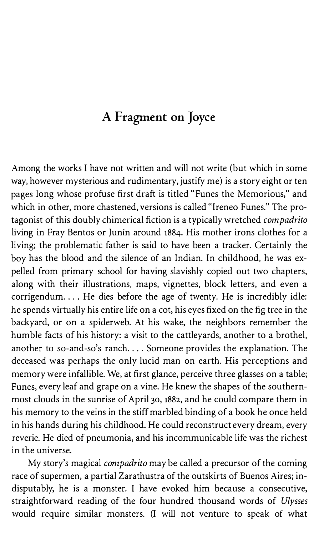## A Fragment on Joyce

Among the works I have not written and will not write (but which in some way, however mysterious and rudimentary, justify me) is a story eight or ten pages long whose profuse first draft is titled "Funes the Memorious," and which in other, more chastened, versions is called "Ireneo Funes." The protagonist of this doubly chimerical fiction is a typically wretched compadrito living in Fray Bentos or Junin around 1884. His mother irons clothes for a living; the problematic father is said to have been a tracker. Certainly the boy has the blood and the silence of an Indian. In childhood, he was expelled from primary school for having slavishly copied out two chapters, along with their illustrations, maps, vignettes, block letters, and even a corrigendum.... He dies before the age of twenty. He is incredibly idle: he spends virtually his entire life on a cot, his eyes fixed on the fig tree in the backyard, or on a spiderweb. At his wake, the neighbors remember the humble facts of his history: a visit to the cattleyards, another to a brothel, another to so-and-so's ranch.... Someone provides the explanation. The deceased was perhaps the only lucid man on earth. His perceptions and memory were infallible. We, at first glance, perceive three glasses on a table; Funes, every leaf and grape on a vine. He knew the shapes of the southernmost clouds in the sunrise of April 30, 1882, and he could compare them in his memory to the veins in the stiff marbled binding of a book he once held in his hands during his childhood. He could reconstruct every dream, every reverie. He died of pneumonia, and his incommunicable life was the richest in the universe.

My story's magical compadrito may be called a precursor of the coming race of supermen, a partial Zarathustra of the outskirts of Buenos Aires; indisputably, he is a monster. I have evoked him because a consecutive, straightforward reading of the four hundred thousand words of Ulysses would require similar monsters. (I will not venture to speak of what